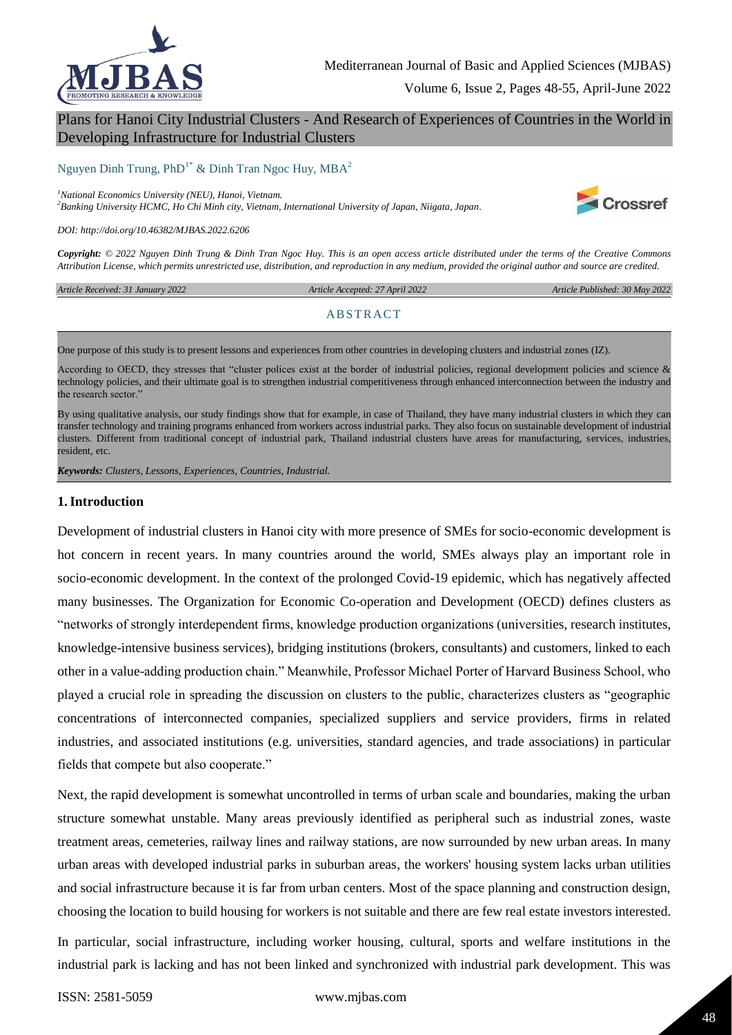

Volume 6, Issue 2, Pages 48-55, April-June 2022

# Plans for Hanoi City Industrial Clusters - And Research of Experiences of Countries in the World in Developing Infrastructure for Industrial Clusters

Nguyen Dinh Trung,  $PhD^{1*}$  & Dinh Tran Ngoc Huy,  $MBA^2$ 

*<sup>1</sup>National Economics University (NEU), Hanoi, Vietnam.*

*<sup>2</sup>Banking University HCMC, Ho Chi Minh city, Vietnam, International University of Japan, Niigata, Japan.* 



*DOI: http://doi.org/10.46382/MJBAS.2022.6206*

*Copyright: © 2022 Nguyen Dinh Trung & Dinh Tran Ngoc Huy. This is an open access article distributed under the terms of the Creative Commons Attribution License, which permits unrestricted use, distribution, and reproduction in any medium, provided the original author and source are credited.* 

*Article Received: 31 January 2022* 

 *Article Accepted: 27 April 2022 Article Published: 30 May 2022*

#### **ABSTRACT**

One purpose of this study is to present lessons and experiences from other countries in developing clusters and industrial zones (IZ).

According to OECD, they stresses that "cluster polices exist at the border of industrial policies, regional development policies and science  $\&$ technology policies, and their ultimate goal is to strengthen industrial competitiveness through enhanced interconnection between the industry and the research sector.'

By using qualitative analysis, our study findings show that for example, in case of Thailand, they have many industrial clusters in which they can transfer technology and training programs enhanced from workers across industrial parks. They also focus on sustainable development of industrial clusters. Different from traditional concept of industrial park, Thailand industrial clusters have areas for manufacturing, services, industries, resident, etc.

*Keywords: Clusters, Lessons, Experiences, Countries, Industrial.*

#### **1.Introduction**

Development of industrial clusters in Hanoi city with more presence of SMEs for socio-economic development is hot concern in recent years. In many countries around the world, SMEs always play an important role in socio-economic development. In the context of the prolonged Covid-19 epidemic, which has negatively affected many businesses. The Organization for Economic Co-operation and Development (OECD) defines clusters as "networks of strongly interdependent firms, knowledge production organizations (universities, research institutes, knowledge-intensive business services), bridging institutions (brokers, consultants) and customers, linked to each other in a value-adding production chain." Meanwhile, Professor Michael Porter of Harvard Business School, who played a crucial role in spreading the discussion on clusters to the public, characterizes clusters as "geographic concentrations of interconnected companies, specialized suppliers and service providers, firms in related industries, and associated institutions (e.g. universities, standard agencies, and trade associations) in particular fields that compete but also cooperate."

Next, the rapid development is somewhat uncontrolled in terms of urban scale and boundaries, making the urban structure somewhat unstable. Many areas previously identified as peripheral such as industrial zones, waste treatment areas, cemeteries, railway lines and railway stations, are now surrounded by new urban areas. In many urban areas with developed industrial parks in suburban areas, the workers' housing system lacks urban utilities and social infrastructure because it is far from urban centers. Most of the space planning and construction design, choosing the location to build housing for workers is not suitable and there are few real estate investors interested.

In particular, social infrastructure, including worker housing, cultural, sports and welfare institutions in the industrial park is lacking and has not been linked and synchronized with industrial park development. This was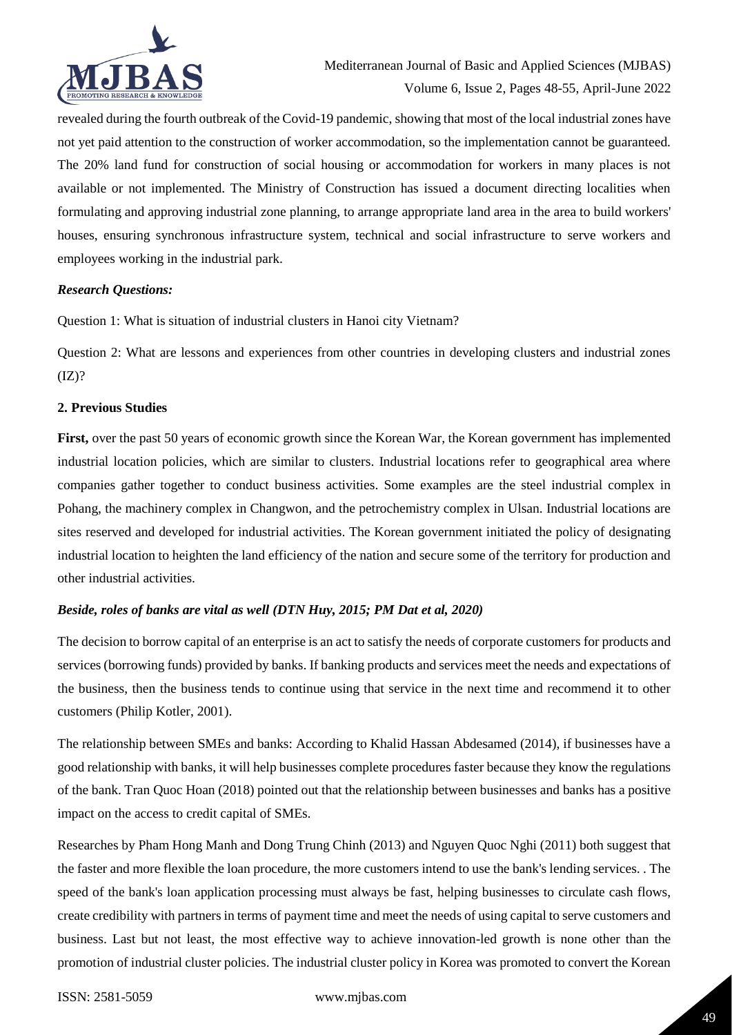

revealed during the fourth outbreak of the Covid-19 pandemic, showing that most of the local industrial zones have not yet paid attention to the construction of worker accommodation, so the implementation cannot be guaranteed. The 20% land fund for construction of social housing or accommodation for workers in many places is not available or not implemented. The Ministry of Construction has issued a document directing localities when formulating and approving industrial zone planning, to arrange appropriate land area in the area to build workers' houses, ensuring synchronous infrastructure system, technical and social infrastructure to serve workers and employees working in the industrial park.

### *Research Questions:*

Question 1: What is situation of industrial clusters in Hanoi city Vietnam?

Question 2: What are lessons and experiences from other countries in developing clusters and industrial zones  $(IZ)?$ 

### **2. Previous Studies**

**First,** over the past 50 years of economic growth since the Korean War, the Korean government has implemented industrial location policies, which are similar to clusters. Industrial locations refer to geographical area where companies gather together to conduct business activities. Some examples are the steel industrial complex in Pohang, the machinery complex in Changwon, and the petrochemistry complex in Ulsan. Industrial locations are sites reserved and developed for industrial activities. The Korean government initiated the policy of designating industrial location to heighten the land efficiency of the nation and secure some of the territory for production and other industrial activities.

# *Beside, roles of banks are vital as well (DTN Huy, 2015; PM Dat et al, 2020)*

The decision to borrow capital of an enterprise is an act to satisfy the needs of corporate customers for products and services (borrowing funds) provided by banks. If banking products and services meet the needs and expectations of the business, then the business tends to continue using that service in the next time and recommend it to other customers (Philip Kotler, 2001).

The relationship between SMEs and banks: According to Khalid Hassan Abdesamed (2014), if businesses have a good relationship with banks, it will help businesses complete procedures faster because they know the regulations of the bank. Tran Quoc Hoan (2018) pointed out that the relationship between businesses and banks has a positive impact on the access to credit capital of SMEs.

Researches by Pham Hong Manh and Dong Trung Chinh (2013) and Nguyen Quoc Nghi (2011) both suggest that the faster and more flexible the loan procedure, the more customers intend to use the bank's lending services. . The speed of the bank's loan application processing must always be fast, helping businesses to circulate cash flows, create credibility with partners in terms of payment time and meet the needs of using capital to serve customers and business. Last but not least, the most effective way to achieve innovation-led growth is none other than the promotion of industrial cluster policies. The industrial cluster policy in Korea was promoted to convert the Korean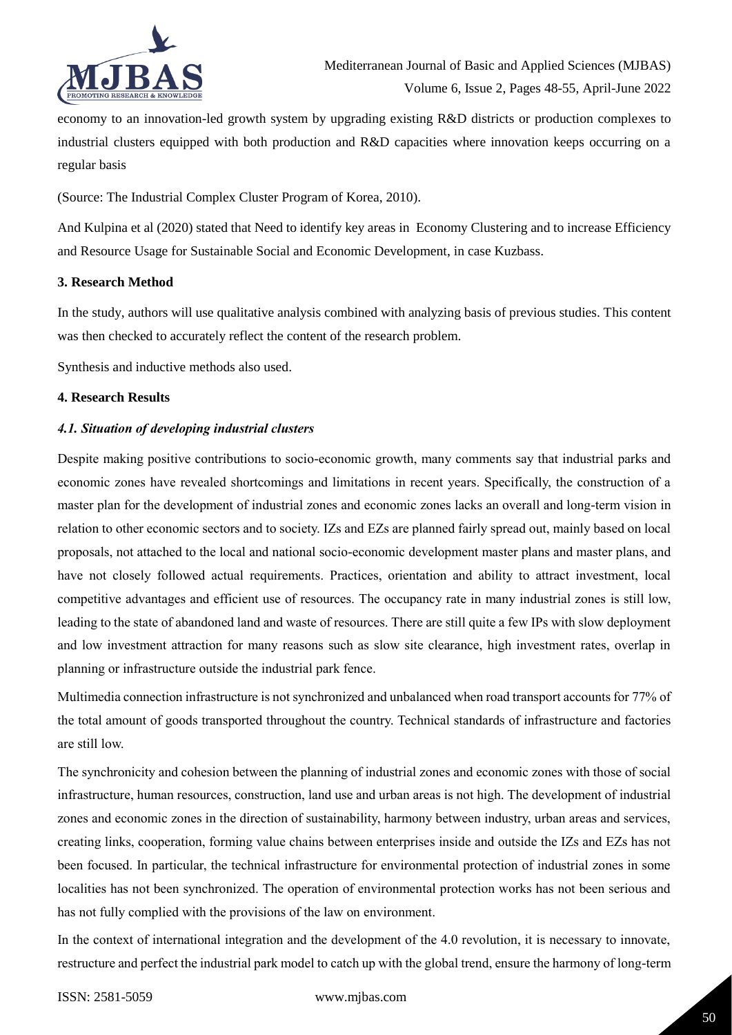

economy to an innovation-led growth system by upgrading existing R&D districts or production complexes to industrial clusters equipped with both production and R&D capacities where innovation keeps occurring on a regular basis

(Source: The Industrial Complex Cluster Program of Korea, 2010).

And Kulpina et al (2020) stated that Need to identify key areas in Economy Clustering and to increase Efficiency and Resource Usage for Sustainable Social and Economic Development, in case Kuzbass.

### **3. Research Method**

In the study, authors will use qualitative analysis combined with analyzing basis of previous studies. This content was then checked to accurately reflect the content of the research problem.

Synthesis and inductive methods also used.

### **4. Research Results**

### *4.1. Situation of developing industrial clusters*

Despite making positive contributions to socio-economic growth, many comments say that industrial parks and economic zones have revealed shortcomings and limitations in recent years. Specifically, the construction of a master plan for the development of industrial zones and economic zones lacks an overall and long-term vision in relation to other economic sectors and to society. IZs and EZs are planned fairly spread out, mainly based on local proposals, not attached to the local and national socio-economic development master plans and master plans, and have not closely followed actual requirements. Practices, orientation and ability to attract investment, local competitive advantages and efficient use of resources. The occupancy rate in many industrial zones is still low, leading to the state of abandoned land and waste of resources. There are still quite a few IPs with slow deployment and low investment attraction for many reasons such as slow site clearance, high investment rates, overlap in planning or infrastructure outside the industrial park fence.

Multimedia connection infrastructure is not synchronized and unbalanced when road transport accounts for 77% of the total amount of goods transported throughout the country. Technical standards of infrastructure and factories are still low.

The synchronicity and cohesion between the planning of industrial zones and economic zones with those of social infrastructure, human resources, construction, land use and urban areas is not high. The development of industrial zones and economic zones in the direction of sustainability, harmony between industry, urban areas and services, creating links, cooperation, forming value chains between enterprises inside and outside the IZs and EZs has not been focused. In particular, the technical infrastructure for environmental protection of industrial zones in some localities has not been synchronized. The operation of environmental protection works has not been serious and has not fully complied with the provisions of the law on environment.

In the context of international integration and the development of the 4.0 revolution, it is necessary to innovate, restructure and perfect the industrial park model to catch up with the global trend, ensure the harmony of long-term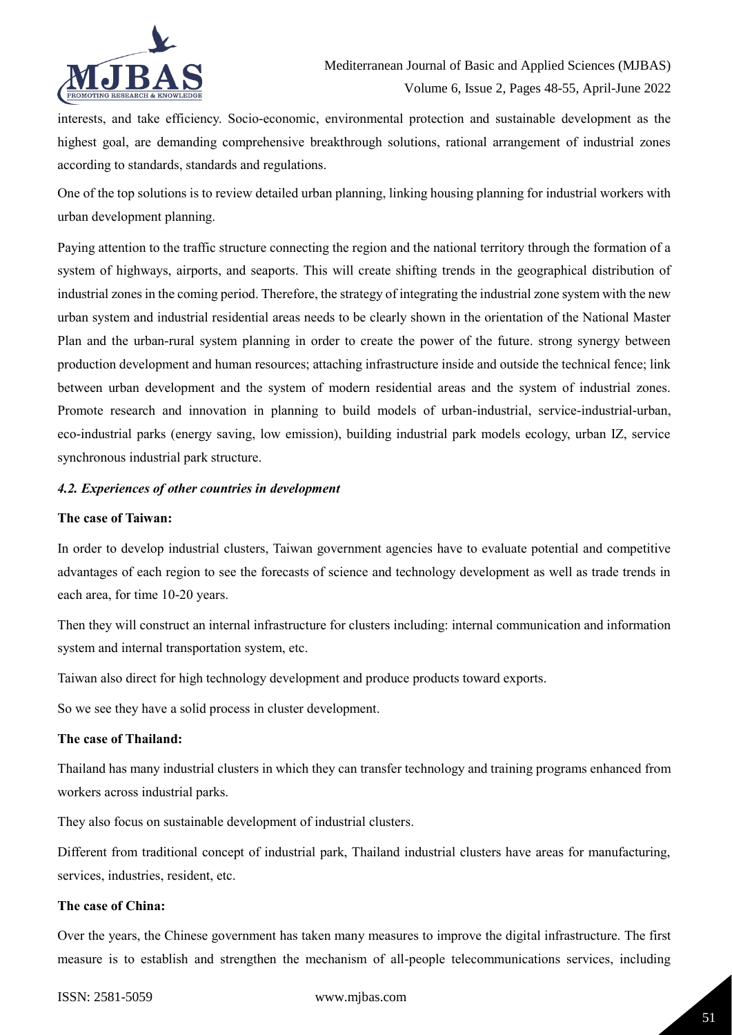

interests, and take efficiency. Socio-economic, environmental protection and sustainable development as the highest goal, are demanding comprehensive breakthrough solutions, rational arrangement of industrial zones according to standards, standards and regulations.

One of the top solutions is to review detailed urban planning, linking housing planning for industrial workers with urban development planning.

Paying attention to the traffic structure connecting the region and the national territory through the formation of a system of highways, airports, and seaports. This will create shifting trends in the geographical distribution of industrial zones in the coming period. Therefore, the strategy of integrating the industrial zone system with the new urban system and industrial residential areas needs to be clearly shown in the orientation of the National Master Plan and the urban-rural system planning in order to create the power of the future. strong synergy between production development and human resources; attaching infrastructure inside and outside the technical fence; link between urban development and the system of modern residential areas and the system of industrial zones. Promote research and innovation in planning to build models of urban-industrial, service-industrial-urban, eco-industrial parks (energy saving, low emission), building industrial park models ecology, urban IZ, service synchronous industrial park structure.

### *4.2. Experiences of other countries in development*

#### **The case of Taiwan:**

In order to develop industrial clusters, Taiwan government agencies have to evaluate potential and competitive advantages of each region to see the forecasts of science and technology development as well as trade trends in each area, for time 10-20 years.

Then they will construct an internal infrastructure for clusters including: internal communication and information system and internal transportation system, etc.

Taiwan also direct for high technology development and produce products toward exports.

So we see they have a solid process in cluster development.

### **The case of Thailand:**

Thailand has many industrial clusters in which they can transfer technology and training programs enhanced from workers across industrial parks.

They also focus on sustainable development of industrial clusters.

Different from traditional concept of industrial park, Thailand industrial clusters have areas for manufacturing, services, industries, resident, etc.

#### **The case of China:**

Over the years, the Chinese government has taken many measures to improve the digital infrastructure. The first measure is to establish and strengthen the mechanism of all-people telecommunications services, including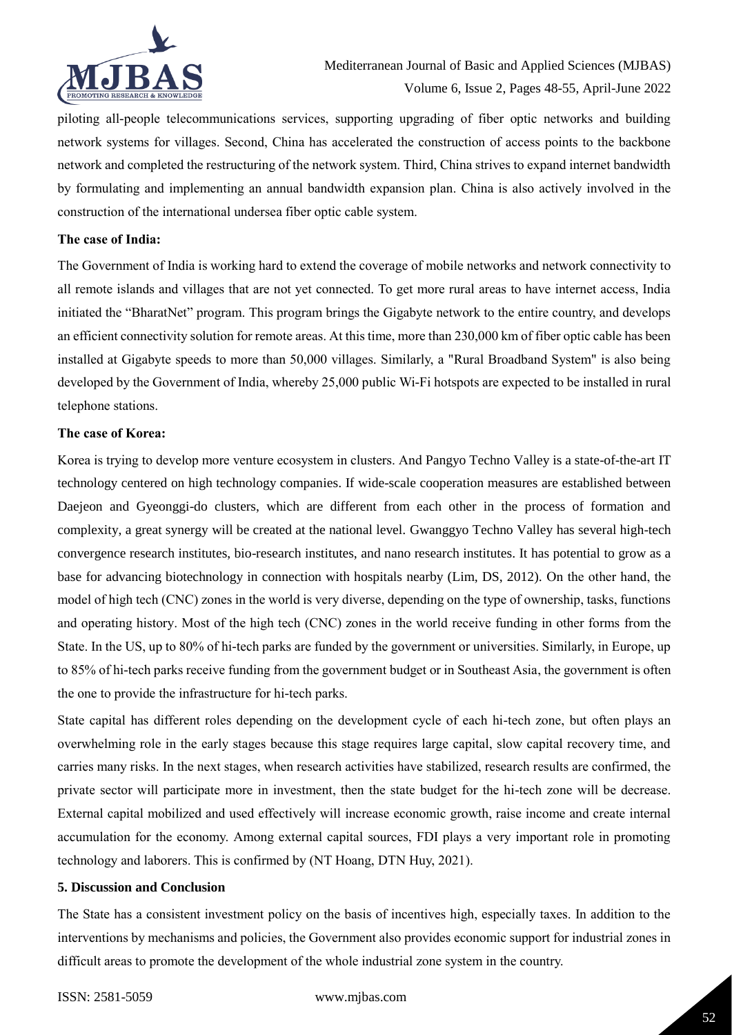

piloting all-people telecommunications services, supporting upgrading of fiber optic networks and building network systems for villages. Second, China has accelerated the construction of access points to the backbone network and completed the restructuring of the network system. Third, China strives to expand internet bandwidth by formulating and implementing an annual bandwidth expansion plan. China is also actively involved in the construction of the international undersea fiber optic cable system.

#### **The case of India:**

The Government of India is working hard to extend the coverage of mobile networks and network connectivity to all remote islands and villages that are not yet connected. To get more rural areas to have internet access, India initiated the "BharatNet" program. This program brings the Gigabyte network to the entire country, and develops an efficient connectivity solution for remote areas. At this time, more than 230,000 km of fiber optic cable has been installed at Gigabyte speeds to more than 50,000 villages. Similarly, a "Rural Broadband System" is also being developed by the Government of India, whereby 25,000 public Wi-Fi hotspots are expected to be installed in rural telephone stations.

### **The case of Korea:**

Korea is trying to develop more venture ecosystem in clusters. And Pangyo Techno Valley is a state-of-the-art IT technology centered on high technology companies. If wide-scale cooperation measures are established between Daejeon and Gyeonggi-do clusters, which are different from each other in the process of formation and complexity, a great synergy will be created at the national level. Gwanggyo Techno Valley has several high-tech convergence research institutes, bio-research institutes, and nano research institutes. It has potential to grow as a base for advancing biotechnology in connection with hospitals nearby (Lim, DS, 2012). On the other hand, the model of high tech (CNC) zones in the world is very diverse, depending on the type of ownership, tasks, functions and operating history. Most of the high tech (CNC) zones in the world receive funding in other forms from the State. In the US, up to 80% of hi-tech parks are funded by the government or universities. Similarly, in Europe, up to 85% of hi-tech parks receive funding from the government budget or in Southeast Asia, the government is often the one to provide the infrastructure for hi-tech parks.

State capital has different roles depending on the development cycle of each hi-tech zone, but often plays an overwhelming role in the early stages because this stage requires large capital, slow capital recovery time, and carries many risks. In the next stages, when research activities have stabilized, research results are confirmed, the private sector will participate more in investment, then the state budget for the hi-tech zone will be decrease. External capital mobilized and used effectively will increase economic growth, raise income and create internal accumulation for the economy. Among external capital sources, FDI plays a very important role in promoting technology and laborers. This is confirmed by (NT Hoang, DTN Huy, 2021).

#### **5. Discussion and Conclusion**

The State has a consistent investment policy on the basis of incentives high, especially taxes. In addition to the interventions by mechanisms and policies, the Government also provides economic support for industrial zones in difficult areas to promote the development of the whole industrial zone system in the country.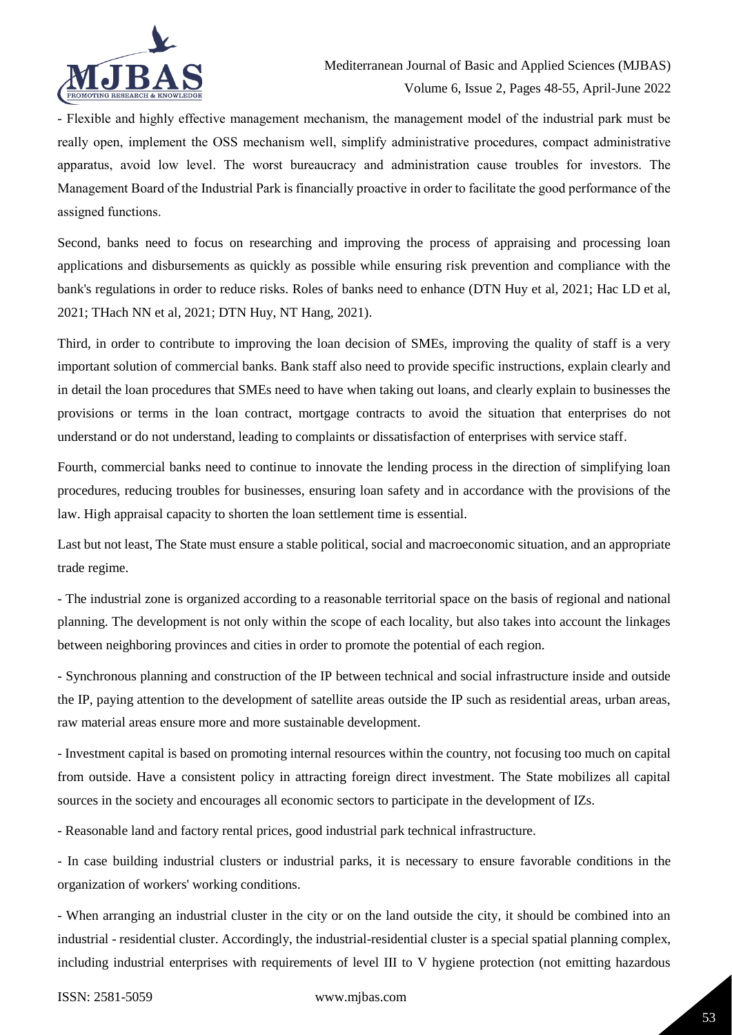

- Flexible and highly effective management mechanism, the management model of the industrial park must be really open, implement the OSS mechanism well, simplify administrative procedures, compact administrative apparatus, avoid low level. The worst bureaucracy and administration cause troubles for investors. The Management Board of the Industrial Park is financially proactive in order to facilitate the good performance of the assigned functions.

Second, banks need to focus on researching and improving the process of appraising and processing loan applications and disbursements as quickly as possible while ensuring risk prevention and compliance with the bank's regulations in order to reduce risks. Roles of banks need to enhance (DTN Huy et al, 2021; Hac LD et al, 2021; THach NN et al, 2021; DTN Huy, NT Hang, 2021).

Third, in order to contribute to improving the loan decision of SMEs, improving the quality of staff is a very important solution of commercial banks. Bank staff also need to provide specific instructions, explain clearly and in detail the loan procedures that SMEs need to have when taking out loans, and clearly explain to businesses the provisions or terms in the loan contract, mortgage contracts to avoid the situation that enterprises do not understand or do not understand, leading to complaints or dissatisfaction of enterprises with service staff.

Fourth, commercial banks need to continue to innovate the lending process in the direction of simplifying loan procedures, reducing troubles for businesses, ensuring loan safety and in accordance with the provisions of the law. High appraisal capacity to shorten the loan settlement time is essential.

Last but not least, The State must ensure a stable political, social and macroeconomic situation, and an appropriate trade regime.

- The industrial zone is organized according to a reasonable territorial space on the basis of regional and national planning. The development is not only within the scope of each locality, but also takes into account the linkages between neighboring provinces and cities in order to promote the potential of each region.

- Synchronous planning and construction of the IP between technical and social infrastructure inside and outside the IP, paying attention to the development of satellite areas outside the IP such as residential areas, urban areas, raw material areas ensure more and more sustainable development.

- Investment capital is based on promoting internal resources within the country, not focusing too much on capital from outside. Have a consistent policy in attracting foreign direct investment. The State mobilizes all capital sources in the society and encourages all economic sectors to participate in the development of IZs.

- Reasonable land and factory rental prices, good industrial park technical infrastructure.

- In case building industrial clusters or industrial parks, it is necessary to ensure favorable conditions in the organization of workers' working conditions.

- When arranging an industrial cluster in the city or on the land outside the city, it should be combined into an industrial - residential cluster. Accordingly, the industrial-residential cluster is a special spatial planning complex, including industrial enterprises with requirements of level III to V hygiene protection (not emitting hazardous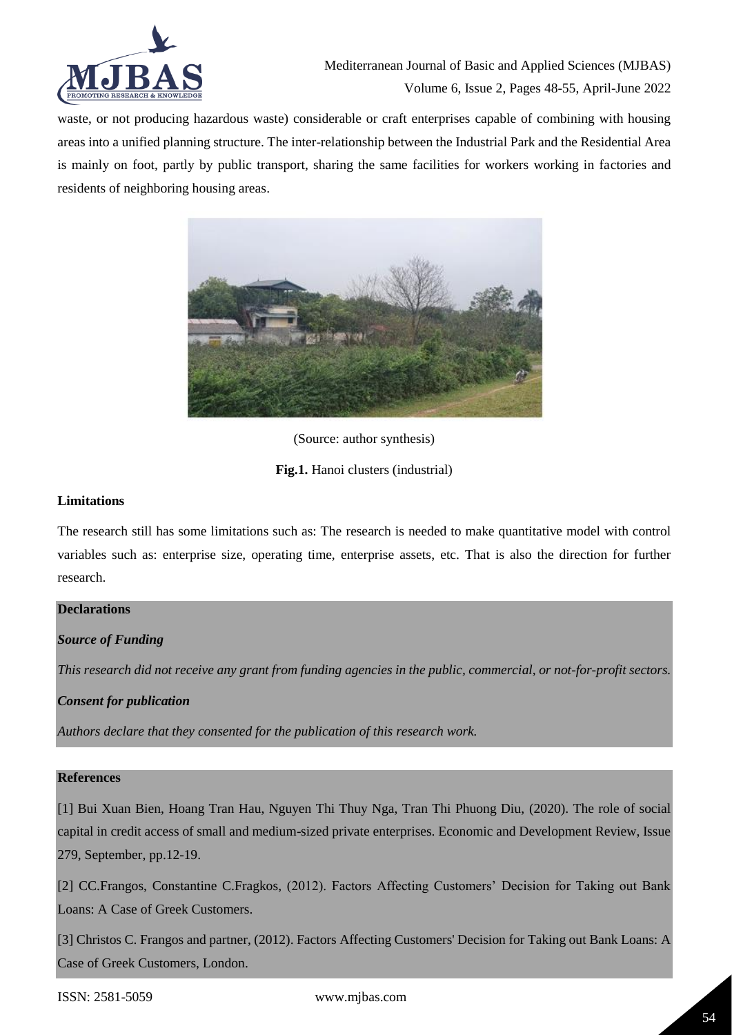

waste, or not producing hazardous waste) considerable or craft enterprises capable of combining with housing areas into a unified planning structure. The inter-relationship between the Industrial Park and the Residential Area is mainly on foot, partly by public transport, sharing the same facilities for workers working in factories and residents of neighboring housing areas.



(Source: author synthesis)

**Fig.1.** Hanoi clusters (industrial)

### **Limitations**

The research still has some limitations such as: The research is needed to make quantitative model with control variables such as: enterprise size, operating time, enterprise assets, etc. That is also the direction for further research.

# **Declarations**

# *Source of Funding*

*This research did not receive any grant from funding agencies in the public, commercial, or not-for-profit sectors.*

# *Consent for publication*

*Authors declare that they consented for the publication of this research work.* 

# **References**

[1] Bui Xuan Bien, Hoang Tran Hau, Nguyen Thi Thuy Nga, Tran Thi Phuong Diu, (2020). The role of social capital in credit access of small and medium-sized private enterprises. Economic and Development Review, Issue 279, September, pp.12-19.

[2] CC.Frangos, Constantine C.Fragkos, (2012). Factors Affecting Customers' Decision for Taking out Bank Loans: A Case of Greek Customers.

[3] Christos C. Frangos and partner, (2012). Factors Affecting Customers' Decision for Taking out Bank Loans: A Case of Greek Customers, London.